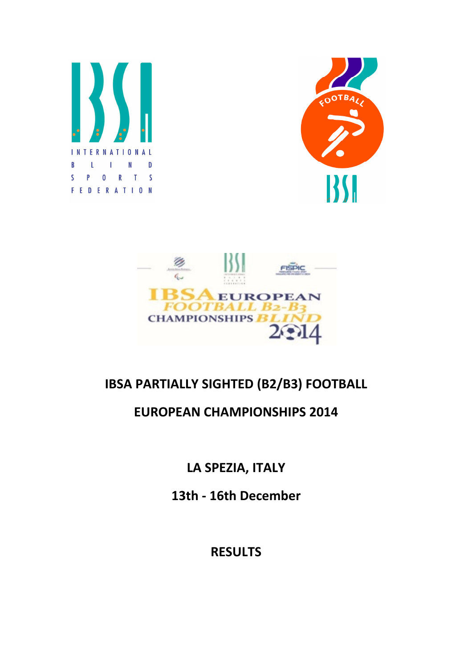





## IBSA PARTIALLY SIGHTED (B2/B3) FOOTBALL

## EUROPEAN CHAMPIONSHIPS 2014

LA SPEZIA, ITALY

13th - 16th December

**RESULTS**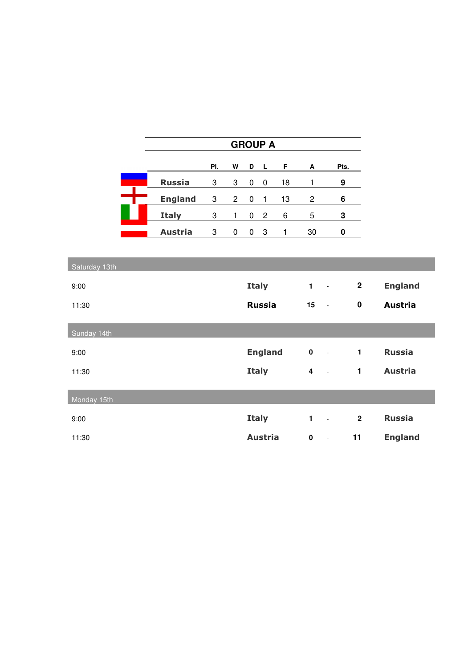|               | <b>GROUP A</b> |     |                |             |                |    |                            |                     |              |                |
|---------------|----------------|-----|----------------|-------------|----------------|----|----------------------------|---------------------|--------------|----------------|
|               |                | PI. | W              | D           | $\mathsf{L}$   | F  | Α                          |                     | Pts.         |                |
|               | <b>Russia</b>  | 3   | 3              | $\pmb{0}$   | $\pmb{0}$      | 18 | 1                          |                     | 9            |                |
|               | <b>England</b> | 3   | $\overline{a}$ | $\pmb{0}$   | 1              | 13 | $\overline{c}$             |                     | 6            |                |
|               | <b>Italy</b>   | 3   | 1              | $\mathbf 0$ | $\overline{c}$ | 6  | 5                          |                     | 3            |                |
|               | <b>Austria</b> | 3   | 0              | 0           | 3              | 1  | 30                         |                     | $\pmb{0}$    |                |
|               |                |     |                |             |                |    |                            |                     |              |                |
| Saturday 13th |                |     |                |             |                |    |                            |                     |              |                |
| 9:00          |                |     |                |             | <b>Italy</b>   |    | $\mathbf{1}$               | $\equiv$            | $\mathbf{2}$ | <b>England</b> |
| 11:30         |                |     |                |             | <b>Russia</b>  |    | 15<br>$\sim$ $-$           |                     | $\mathbf 0$  | <b>Austria</b> |
| Sunday 14th   |                |     |                |             |                |    |                            |                     |              |                |
| 9:00          |                |     |                |             | <b>England</b> |    | $\pmb{0}$<br>$\sim$ $\sim$ |                     | $\mathbf{1}$ | <b>Russia</b>  |
| 11:30         |                |     |                |             | <b>Italy</b>   |    | $4 - 1$                    |                     | $\mathbf{1}$ | <b>Austria</b> |
| Monday 15th   |                |     |                |             |                |    |                            |                     |              |                |
| 9:00          |                |     |                |             | <b>Italy</b>   |    | $\mathbf{1}$               | $\mathbb{L}$        | $\mathbf{2}$ | <b>Russia</b>  |
| 11:30         |                |     |                |             | <b>Austria</b> |    | $\mathbf 0$                | $\omega_{\rm{max}}$ | 11           | <b>England</b> |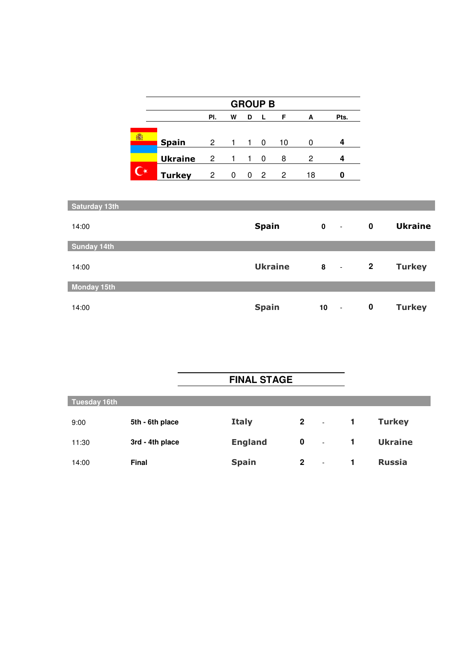|   | <b>GROUP B</b> |     |                |    |                |    |    |      |
|---|----------------|-----|----------------|----|----------------|----|----|------|
|   |                | PI. | w              | D  | -L             | F  | A  | Pts. |
|   |                |     |                |    |                |    |    |      |
| 擺 | <b>Spain</b>   | 2   | $\overline{1}$ | 1. | 0              | 10 | O  |      |
|   | <b>Ukraine</b> | 2   |                |    | 0              | 8  | 2  |      |
|   | <b>Turkey</b>  | 2   | 0              | 0  | $\overline{2}$ | 2  | 18 | Π    |

| Saturday 13th      |                |             |                       |                |                |
|--------------------|----------------|-------------|-----------------------|----------------|----------------|
| 14:00              | <b>Spain</b>   | $\mathbf 0$ | $\tilde{\phantom{a}}$ | $\mathbf 0$    | <b>Ukraine</b> |
| <b>Sunday 14th</b> |                |             |                       |                |                |
| 14:00              | <b>Ukraine</b> | 8           | $\sim$                | $\overline{2}$ | <b>Turkey</b>  |
| <b>Monday 15th</b> |                |             |                       |                |                |
| 14:00              | <b>Spain</b>   | 10          | $\ddot{\phantom{a}}$  | $\mathbf 0$    | <b>Turkey</b>  |

|                     |                 | <b>FINAL STAGE</b> |             |                          |              |                |
|---------------------|-----------------|--------------------|-------------|--------------------------|--------------|----------------|
| <b>Tuesday 16th</b> |                 |                    |             |                          |              |                |
| 9:00                | 5th - 6th place | <b>Italy</b>       | $2 - 1$     |                          | $\mathbf{1}$ | <b>Turkey</b>  |
| 11:30               | 3rd - 4th place | <b>England</b>     | $\bf{0}$    | $\sim$                   | $\mathbf{1}$ | <b>Ukraine</b> |
| 14:00               | <b>Final</b>    | <b>Spain</b>       | $\mathbf 2$ | $\overline{\phantom{a}}$ | 1            | <b>Russia</b>  |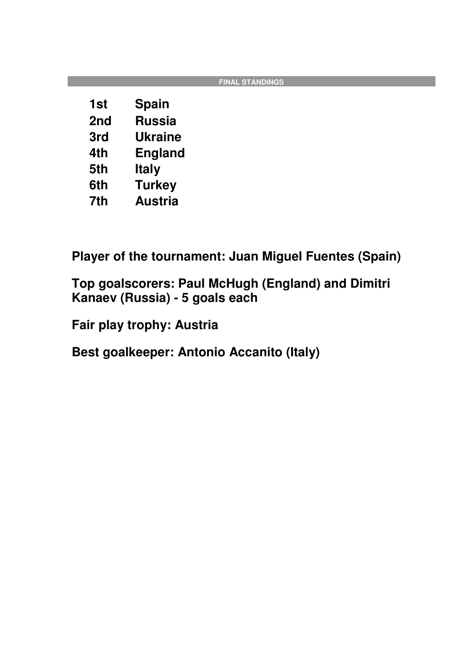|     |                | <b>FINAL STANDINGS</b> |
|-----|----------------|------------------------|
| 1st | <b>Spain</b>   |                        |
| 2nd | <b>Russia</b>  |                        |
| 3rd | <b>Ukraine</b> |                        |
| 4th | <b>England</b> |                        |
| 5th | <b>Italy</b>   |                        |
| 6th | <b>Turkey</b>  |                        |
| 7th | <b>Austria</b> |                        |

**Player of the tournament: Juan Miguel Fuentes (Spain)** 

**Top goalscorers: Paul McHugh (England) and Dimitri Kanaev (Russia) - 5 goals each** 

**Fair play trophy: Austria** 

**Best goalkeeper: Antonio Accanito (Italy)**